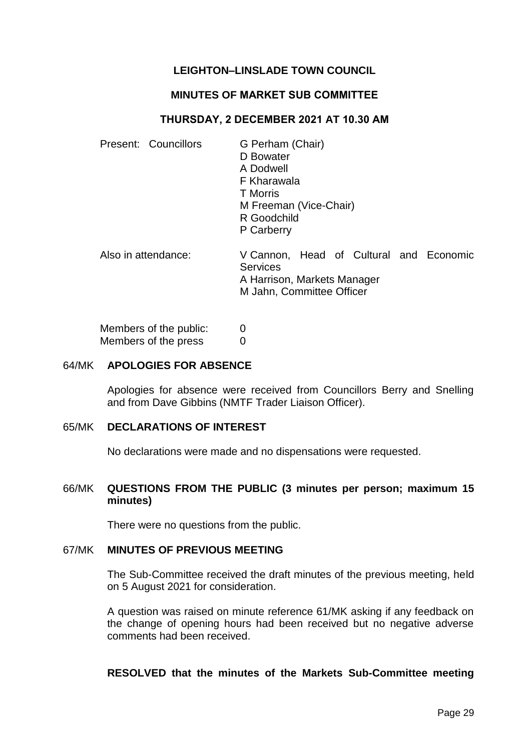# **LEIGHTON–LINSLADE TOWN COUNCIL**

## **MINUTES OF MARKET SUB COMMITTEE**

## **THURSDAY, 2 DECEMBER 2021 AT 10.30 AM**

| Present: Councillors | G Perham (Chair)<br>D Bowater<br>A Dodwell<br>F Kharawala<br>T Morris<br>M Freeman (Vice-Chair)<br>R Goodchild<br>P Carberry |
|----------------------|------------------------------------------------------------------------------------------------------------------------------|
| Also in attendance:  | V Cannon, Head of Cultural and Economic<br><b>Services</b><br>A Harrison, Markets Manager<br>M Jahn, Committee Officer       |

Members of the public: 0 Members of the press 0

#### 64/MK **APOLOGIES FOR ABSENCE**

Apologies for absence were received from Councillors Berry and Snelling and from Dave Gibbins (NMTF Trader Liaison Officer).

#### 65/MK **DECLARATIONS OF INTEREST**

No declarations were made and no dispensations were requested.

## 66/MK **QUESTIONS FROM THE PUBLIC (3 minutes per person; maximum 15 minutes)**

There were no questions from the public.

#### 67/MK **MINUTES OF PREVIOUS MEETING**

The Sub-Committee received the draft minutes of the previous meeting, held on 5 August 2021 for consideration.

A question was raised on minute reference 61/MK asking if any feedback on the change of opening hours had been received but no negative adverse comments had been received.

#### **RESOLVED that the minutes of the Markets Sub-Committee meeting**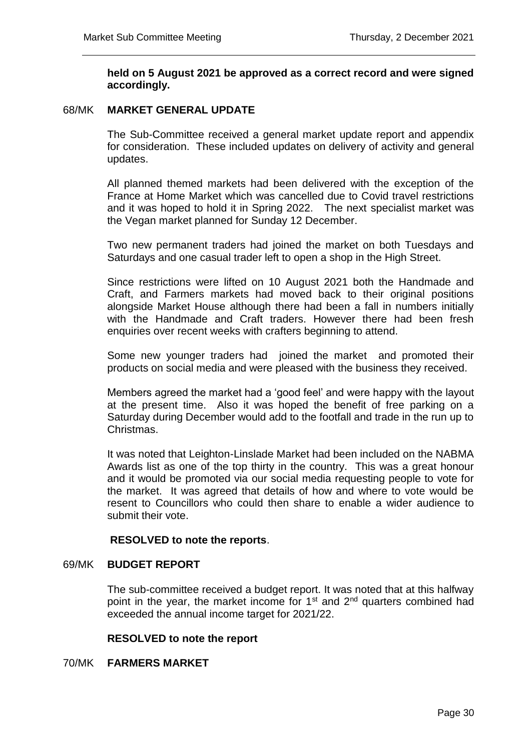## **held on 5 August 2021 be approved as a correct record and were signed accordingly.**

#### 68/MK **MARKET GENERAL UPDATE**

The Sub-Committee received a general market update report and appendix for consideration. These included updates on delivery of activity and general updates.

All planned themed markets had been delivered with the exception of the France at Home Market which was cancelled due to Covid travel restrictions and it was hoped to hold it in Spring 2022. The next specialist market was the Vegan market planned for Sunday 12 December.

Two new permanent traders had joined the market on both Tuesdays and Saturdays and one casual trader left to open a shop in the High Street.

Since restrictions were lifted on 10 August 2021 both the Handmade and Craft, and Farmers markets had moved back to their original positions alongside Market House although there had been a fall in numbers initially with the Handmade and Craft traders. However there had been fresh enquiries over recent weeks with crafters beginning to attend.

Some new younger traders had joined the market and promoted their products on social media and were pleased with the business they received.

Members agreed the market had a 'good feel' and were happy with the layout at the present time. Also it was hoped the benefit of free parking on a Saturday during December would add to the footfall and trade in the run up to Christmas.

It was noted that Leighton-Linslade Market had been included on the NABMA Awards list as one of the top thirty in the country. This was a great honour and it would be promoted via our social media requesting people to vote for the market. It was agreed that details of how and where to vote would be resent to Councillors who could then share to enable a wider audience to submit their vote.

#### **RESOLVED to note the reports**.

#### 69/MK **BUDGET REPORT**

The sub-committee received a budget report. It was noted that at this halfway point in the year, the market income for  $1<sup>st</sup>$  and  $2<sup>nd</sup>$  quarters combined had exceeded the annual income target for 2021/22.

#### **RESOLVED to note the report**

## 70/MK **FARMERS MARKET**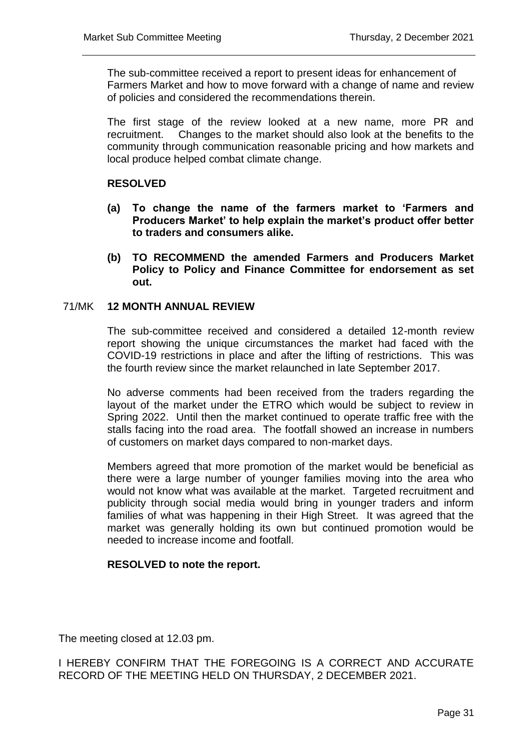The sub-committee received a report to present ideas for enhancement of Farmers Market and how to move forward with a change of name and review of policies and considered the recommendations therein.

The first stage of the review looked at a new name, more PR and recruitment. Changes to the market should also look at the benefits to the community through communication reasonable pricing and how markets and local produce helped combat climate change.

# **RESOLVED**

- **(a) To change the name of the farmers market to 'Farmers and Producers Market' to help explain the market's product offer better to traders and consumers alike.**
- **(b) TO RECOMMEND the amended Farmers and Producers Market Policy to Policy and Finance Committee for endorsement as set out.**

## 71/MK **12 MONTH ANNUAL REVIEW**

The sub-committee received and considered a detailed 12-month review report showing the unique circumstances the market had faced with the COVID-19 restrictions in place and after the lifting of restrictions. This was the fourth review since the market relaunched in late September 2017.

No adverse comments had been received from the traders regarding the layout of the market under the ETRO which would be subject to review in Spring 2022. Until then the market continued to operate traffic free with the stalls facing into the road area. The footfall showed an increase in numbers of customers on market days compared to non-market days.

Members agreed that more promotion of the market would be beneficial as there were a large number of younger families moving into the area who would not know what was available at the market. Targeted recruitment and publicity through social media would bring in younger traders and inform families of what was happening in their High Street. It was agreed that the market was generally holding its own but continued promotion would be needed to increase income and footfall.

## **RESOLVED to note the report.**

The meeting closed at 12.03 pm.

I HEREBY CONFIRM THAT THE FOREGOING IS A CORRECT AND ACCURATE RECORD OF THE MEETING HELD ON THURSDAY, 2 DECEMBER 2021.